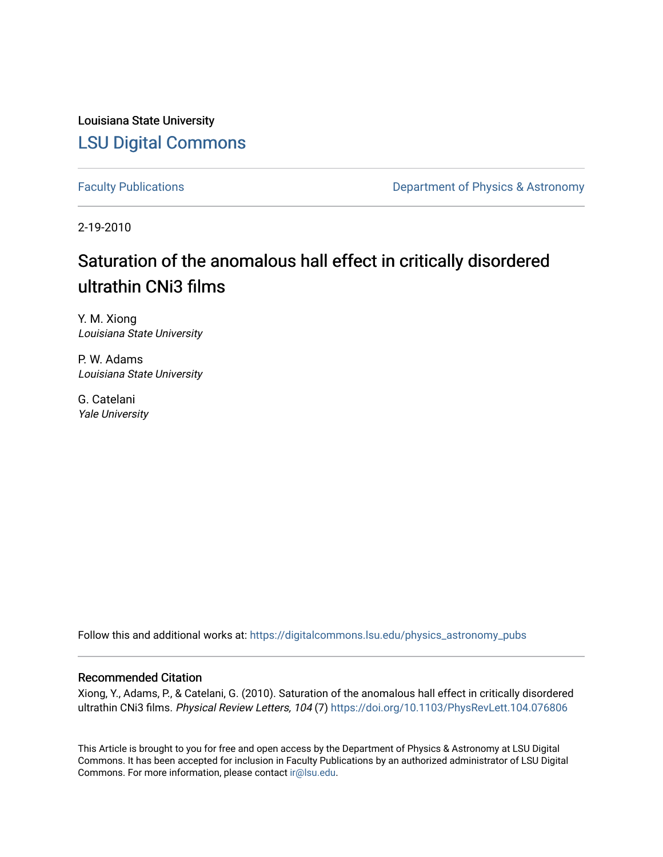Louisiana State University [LSU Digital Commons](https://digitalcommons.lsu.edu/)

[Faculty Publications](https://digitalcommons.lsu.edu/physics_astronomy_pubs) **Exercise 2 and Table 2 and Table 2 and Table 2 and Table 2 and Table 2 and Table 2 and Table 2 and Table 2 and Table 2 and Table 2 and Table 2 and Table 2 and Table 2 and Table 2 and Table 2 and Table** 

2-19-2010

## Saturation of the anomalous hall effect in critically disordered ultrathin CNi3 films

Y. M. Xiong Louisiana State University

P. W. Adams Louisiana State University

G. Catelani Yale University

Follow this and additional works at: [https://digitalcommons.lsu.edu/physics\\_astronomy\\_pubs](https://digitalcommons.lsu.edu/physics_astronomy_pubs?utm_source=digitalcommons.lsu.edu%2Fphysics_astronomy_pubs%2F89&utm_medium=PDF&utm_campaign=PDFCoverPages) 

## Recommended Citation

Xiong, Y., Adams, P., & Catelani, G. (2010). Saturation of the anomalous hall effect in critically disordered ultrathin CNi3 films. Physical Review Letters, 104 (7) <https://doi.org/10.1103/PhysRevLett.104.076806>

This Article is brought to you for free and open access by the Department of Physics & Astronomy at LSU Digital Commons. It has been accepted for inclusion in Faculty Publications by an authorized administrator of LSU Digital Commons. For more information, please contact [ir@lsu.edu](mailto:ir@lsu.edu).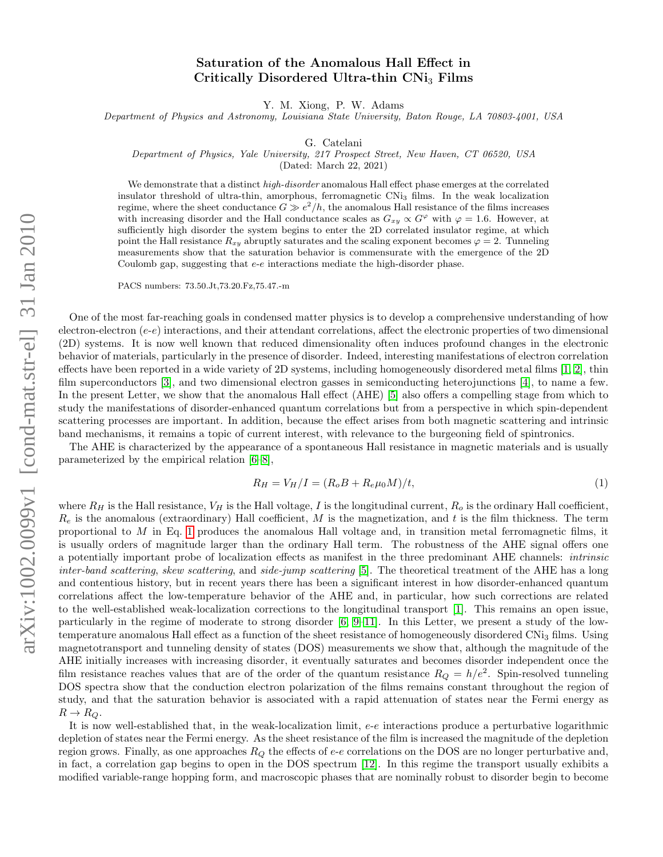## Saturation of the Anomalous Hall Effect in Critically Disordered Ultra-thin CNi<sub>3</sub> Films

Y. M. Xiong, P. W. Adams

Department of Physics and Astronomy, Louisiana State University, Baton Rouge, LA 70803-4001, USA

G. Catelani

Department of Physics, Yale University, 217 Prospect Street, New Haven, CT 06520, USA

(Dated: March 22, 2021)

We demonstrate that a distinct *high-disorder* anomalous Hall effect phase emerges at the correlated insulator threshold of ultra-thin, amorphous, ferromagnetic CNi<sup>3</sup> films. In the weak localization regime, where the sheet conductance  $G \gg e^2/h$ , the anomalous Hall resistance of the films increases with increasing disorder and the Hall conductance scales as  $G_{xy} \propto G^{\varphi}$  with  $\varphi = 1.6$ . However, at sufficiently high disorder the system begins to enter the 2D correlated insulator regime, at which point the Hall resistance  $R_{xy}$  abruptly saturates and the scaling exponent becomes  $\varphi = 2$ . Tunneling measurements show that the saturation behavior is commensurate with the emergence of the 2D Coulomb gap, suggesting that e-e interactions mediate the high-disorder phase.

PACS numbers: 73.50.Jt,73.20.Fz,75.47.-m

One of the most far-reaching goals in condensed matter physics is to develop a comprehensive understanding of how electron-electron  $(e-e)$  interactions, and their attendant correlations, affect the electronic properties of two dimensional (2D) systems. It is now well known that reduced dimensionality often induces profound changes in the electronic behavior of materials, particularly in the presence of disorder. Indeed, interesting manifestations of electron correlation effects have been reported in a wide variety of 2D systems, including homogeneously disordered metal films [\[1,](#page-5-0) [2\]](#page-5-1), thin film superconductors [\[3\]](#page-5-2), and two dimensional electron gasses in semiconducting heterojunctions [\[4\]](#page-5-3), to name a few. In the present Letter, we show that the anomalous Hall effect (AHE) [\[5\]](#page-5-4) also offers a compelling stage from which to study the manifestations of disorder-enhanced quantum correlations but from a perspective in which spin-dependent scattering processes are important. In addition, because the effect arises from both magnetic scattering and intrinsic band mechanisms, it remains a topic of current interest, with relevance to the burgeoning field of spintronics.

The AHE is characterized by the appearance of a spontaneous Hall resistance in magnetic materials and is usually parameterized by the empirical relation [\[6](#page-5-5)[–8\]](#page-5-6),

<span id="page-1-0"></span>
$$
R_H = V_H / I = (R_o B + R_e \mu_0 M) / t,\t\t(1)
$$

where  $R_H$  is the Hall resistance,  $V_H$  is the Hall voltage, I is the longitudinal current,  $R_o$  is the ordinary Hall coefficient,  $R_e$  is the anomalous (extraordinary) Hall coefficient, M is the magnetization, and t is the film thickness. The term proportional to  $M$  in Eq. [1](#page-1-0) produces the anomalous Hall voltage and, in transition metal ferromagnetic films, it is usually orders of magnitude larger than the ordinary Hall term. The robustness of the AHE signal offers one a potentially important probe of localization effects as manifest in the three predominant AHE channels: intrinsic inter-band scattering, skew scattering, and side-jump scattering [\[5\]](#page-5-4). The theoretical treatment of the AHE has a long and contentious history, but in recent years there has been a significant interest in how disorder-enhanced quantum correlations affect the low-temperature behavior of the AHE and, in particular, how such corrections are related to the well-established weak-localization corrections to the longitudinal transport [\[1\]](#page-5-0). This remains an open issue, particularly in the regime of moderate to strong disorder [\[6,](#page-5-5) [9–](#page-5-7)[11\]](#page-5-8). In this Letter, we present a study of the lowtemperature anomalous Hall effect as a function of the sheet resistance of homogeneously disordered CNi<sub>3</sub> films. Using magnetotransport and tunneling density of states (DOS) measurements we show that, although the magnitude of the AHE initially increases with increasing disorder, it eventually saturates and becomes disorder independent once the film resistance reaches values that are of the order of the quantum resistance  $R_Q = h/e^2$ . Spin-resolved tunneling DOS spectra show that the conduction electron polarization of the films remains constant throughout the region of study, and that the saturation behavior is associated with a rapid attenuation of states near the Fermi energy as  $R \to R_Q$ .

It is now well-established that, in the weak-localization limit, e-e interactions produce a perturbative logarithmic depletion of states near the Fermi energy. As the sheet resistance of the film is increased the magnitude of the depletion region grows. Finally, as one approaches  $R_Q$  the effects of  $e$ - $e$  correlations on the DOS are no longer perturbative and, in fact, a correlation gap begins to open in the DOS spectrum [\[12\]](#page-5-9). In this regime the transport usually exhibits a modified variable-range hopping form, and macroscopic phases that are nominally robust to disorder begin to become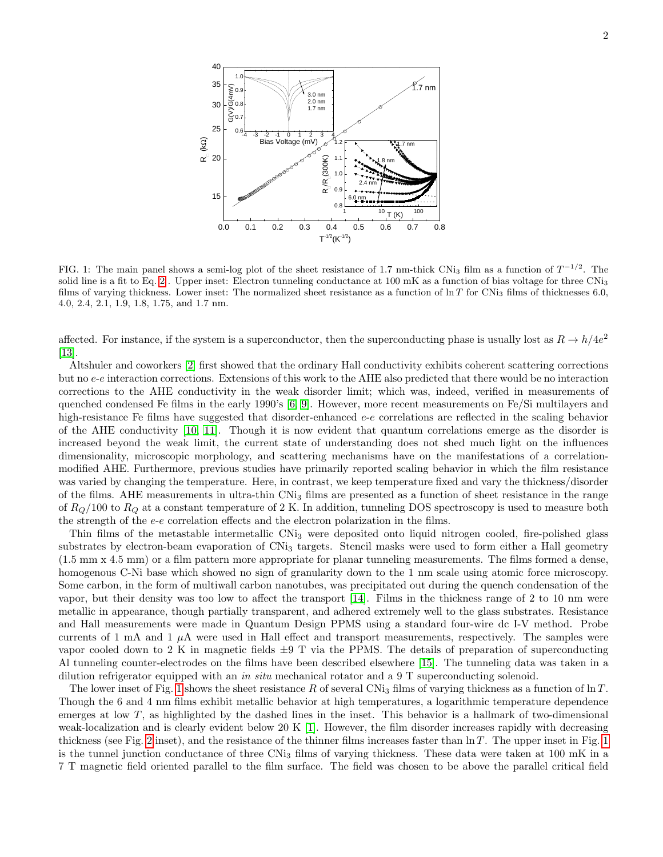

<span id="page-2-0"></span>FIG. 1: The main panel shows a semi-log plot of the sheet resistance of 1.7 nm-thick CNi<sub>3</sub> film as a function of  $T^{-1/2}$ . The solid line is a fit to Eq. [2](#page-3-0). Upper inset: Electron tunneling conductance at 100 mK as a function of bias voltage for three CNi<sub>3</sub> films of varying thickness. Lower inset: The normalized sheet resistance as a function of  $\ln T$  for CNi<sub>3</sub> films of thicknesses 6.0, 4.0, 2.4, 2.1, 1.9, 1.8, 1.75, and 1.7 nm.

affected. For instance, if the system is a superconductor, then the superconducting phase is usually lost as  $R \to h/4e^2$ [\[13\]](#page-5-10).

Altshuler and coworkers [\[2\]](#page-5-1) first showed that the ordinary Hall conductivity exhibits coherent scattering corrections but no e-e interaction corrections. Extensions of this work to the AHE also predicted that there would be no interaction corrections to the AHE conductivity in the weak disorder limit; which was, indeed, verified in measurements of quenched condensed Fe films in the early 1990's [\[6,](#page-5-5) [9\]](#page-5-7). However, more recent measurements on Fe/Si multilayers and high-resistance Fe films have suggested that disorder-enhanced e-e correlations are reflected in the scaling behavior of the AHE conductivity [\[10,](#page-5-11) [11\]](#page-5-8). Though it is now evident that quantum correlations emerge as the disorder is increased beyond the weak limit, the current state of understanding does not shed much light on the influences dimensionality, microscopic morphology, and scattering mechanisms have on the manifestations of a correlationmodified AHE. Furthermore, previous studies have primarily reported scaling behavior in which the film resistance was varied by changing the temperature. Here, in contrast, we keep temperature fixed and vary the thickness/disorder of the films. AHE measurements in ultra-thin CNi<sup>3</sup> films are presented as a function of sheet resistance in the range of  $R<sub>O</sub>/100$  to  $R<sub>O</sub>$  at a constant temperature of 2 K. In addition, tunneling DOS spectroscopy is used to measure both the strength of the  $e-e$  correlation effects and the electron polarization in the films.

Thin films of the metastable intermetallic CNi<sup>3</sup> were deposited onto liquid nitrogen cooled, fire-polished glass substrates by electron-beam evaporation of CNi<sub>3</sub> targets. Stencil masks were used to form either a Hall geometry (1.5 mm x 4.5 mm) or a film pattern more appropriate for planar tunneling measurements. The films formed a dense, homogenous C-Ni base which showed no sign of granularity down to the 1 nm scale using atomic force microscopy. Some carbon, in the form of multiwall carbon nanotubes, was precipitated out during the quench condensation of the vapor, but their density was too low to affect the transport [\[14\]](#page-5-12). Films in the thickness range of 2 to 10 nm were metallic in appearance, though partially transparent, and adhered extremely well to the glass substrates. Resistance and Hall measurements were made in Quantum Design PPMS using a standard four-wire dc I-V method. Probe currents of 1 mA and 1  $\mu$ A were used in Hall effect and transport measurements, respectively. The samples were vapor cooled down to 2 K in magnetic fields  $\pm 9$  T via the PPMS. The details of preparation of superconducting Al tunneling counter-electrodes on the films have been described elsewhere [\[15\]](#page-5-13). The tunneling data was taken in a dilution refrigerator equipped with an in situ mechanical rotator and a 9 T superconducting solenoid.

The lower inset of Fig. [1](#page-2-0) shows the sheet resistance R of several CNi<sub>3</sub> films of varying thickness as a function of  $\ln T$ . Though the 6 and 4 nm films exhibit metallic behavior at high temperatures, a logarithmic temperature dependence emerges at low  $T$ , as highlighted by the dashed lines in the inset. This behavior is a hallmark of two-dimensional weak-localization and is clearly evident below 20 K [\[1\]](#page-5-0). However, the film disorder increases rapidly with decreasing thickness (see Fig. [2](#page-3-1) inset), and the resistance of the thinner films increases faster than  $\ln T$ . The upper inset in Fig. [1](#page-2-0) is the tunnel junction conductance of three  $CNi<sub>3</sub>$  films of varying thickness. These data were taken at 100 mK in a 7 T magnetic field oriented parallel to the film surface. The field was chosen to be above the parallel critical field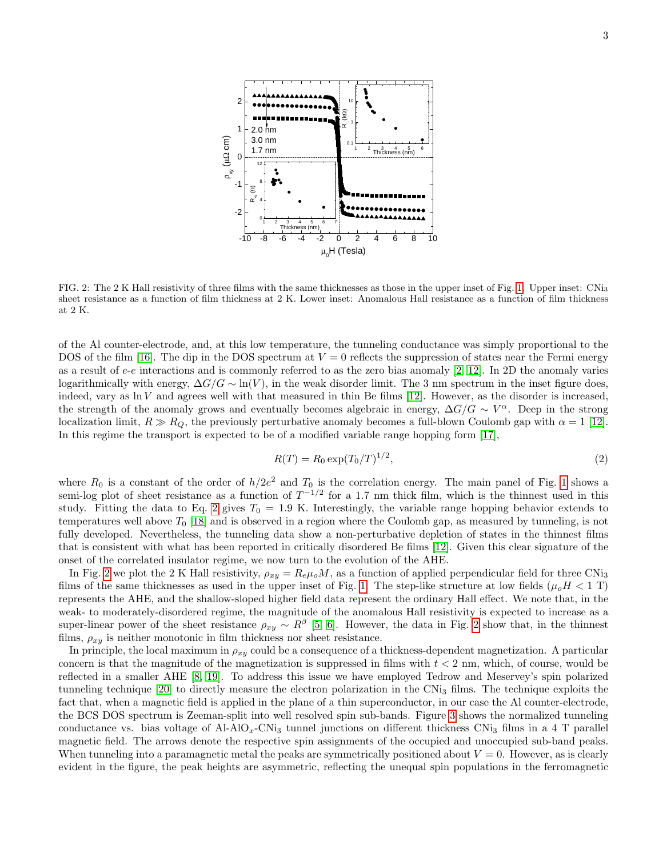

<span id="page-3-1"></span>FIG. 2: The 2 K Hall resistivity of three films with the same thicknesses as those in the upper inset of Fig. [1.](#page-2-0) Upper inset: CNi<sup>3</sup> sheet resistance as a function of film thickness at 2 K. Lower inset: Anomalous Hall resistance as a function of film thickness at 2 K.

of the Al counter-electrode, and, at this low temperature, the tunneling conductance was simply proportional to the DOS of the film [\[16\]](#page-5-14). The dip in the DOS spectrum at  $V = 0$  reflects the suppression of states near the Fermi energy as a result of e-e interactions and is commonly referred to as the zero bias anomaly  $[2, 12]$  $[2, 12]$ . In 2D the anomaly varies logarithmically with energy,  $\Delta G/G \sim \ln(V)$ , in the weak disorder limit. The 3 nm spectrum in the inset figure does, indeed, vary as  $\ln V$  and agrees well with that measured in thin Be films [\[12\]](#page-5-9). However, as the disorder is increased, the strength of the anomaly grows and eventually becomes algebraic in energy,  $\Delta G/G \sim V^{\alpha}$ . Deep in the strong localization limit,  $R \gg R_Q$ , the previously perturbative anomaly becomes a full-blown Coulomb gap with  $\alpha = 1$  [\[12\]](#page-5-9). In this regime the transport is expected to be of a modified variable range hopping form [\[17\]](#page-5-15),

<span id="page-3-0"></span>
$$
R(T) = R_0 \exp(T_0/T)^{1/2},\tag{2}
$$

where  $R_0$  is a constant of the order of  $h/2e^2$  and  $T_0$  is the correlation energy. The main panel of Fig. [1](#page-2-0) shows a semi-log plot of sheet resistance as a function of  $T^{-1/2}$  for a 1.7 nm thick film, which is the thinnest used in this study. Fitting the data to Eq. [2](#page-3-0) gives  $T_0 = 1.9$  K. Interestingly, the variable range hopping behavior extends to temperatures well above  $T_0$  [\[18\]](#page-5-16) and is observed in a region where the Coulomb gap, as measured by tunneling, is not fully developed. Nevertheless, the tunneling data show a non-perturbative depletion of states in the thinnest films that is consistent with what has been reported in critically disordered Be films [\[12\]](#page-5-9). Given this clear signature of the onset of the correlated insulator regime, we now turn to the evolution of the AHE.

In Fig. [2](#page-3-1) we plot the 2 K Hall resistivity,  $\rho_{xy} = R_e \mu_o M$ , as a function of applied perpendicular field for three CNi<sub>3</sub> films of the same thicknesses as used in the upper inset of Fig. [1.](#page-2-0) The step-like structure at low fields  $(\mu_0H < 1$  T) represents the AHE, and the shallow-sloped higher field data represent the ordinary Hall effect. We note that, in the weak- to moderately-disordered regime, the magnitude of the anomalous Hall resistivity is expected to increase as a super-linear power of the sheet resistance  $\rho_{xy} \sim R^{\beta}$  [\[5,](#page-5-4) [6\]](#page-5-5). However, the data in Fig. [2](#page-3-1) show that, in the thinnest films,  $\rho_{xy}$  is neither monotonic in film thickness nor sheet resistance.

In principle, the local maximum in  $\rho_{xy}$  could be a consequence of a thickness-dependent magnetization. A particular concern is that the magnitude of the magnetization is suppressed in films with  $t < 2$  nm, which, of course, would be reflected in a smaller AHE [\[8,](#page-5-6) [19\]](#page-5-17). To address this issue we have employed Tedrow and Meservey's spin polarized tunneling technique  $[20]$  to directly measure the electron polarization in the CNi<sub>3</sub> films. The technique exploits the fact that, when a magnetic field is applied in the plane of a thin superconductor, in our case the Al counter-electrode, the BCS DOS spectrum is Zeeman-split into well resolved spin sub-bands. Figure [3](#page-4-0) shows the normalized tunneling conductance vs. bias voltage of  $A1-A1O_x$ -CNi<sub>3</sub> tunnel junctions on different thickness CN<sub>i3</sub> films in a 4 T parallel magnetic field. The arrows denote the respective spin assignments of the occupied and unoccupied sub-band peaks. When tunneling into a paramagnetic metal the peaks are symmetrically positioned about  $V = 0$ . However, as is clearly evident in the figure, the peak heights are asymmetric, reflecting the unequal spin populations in the ferromagnetic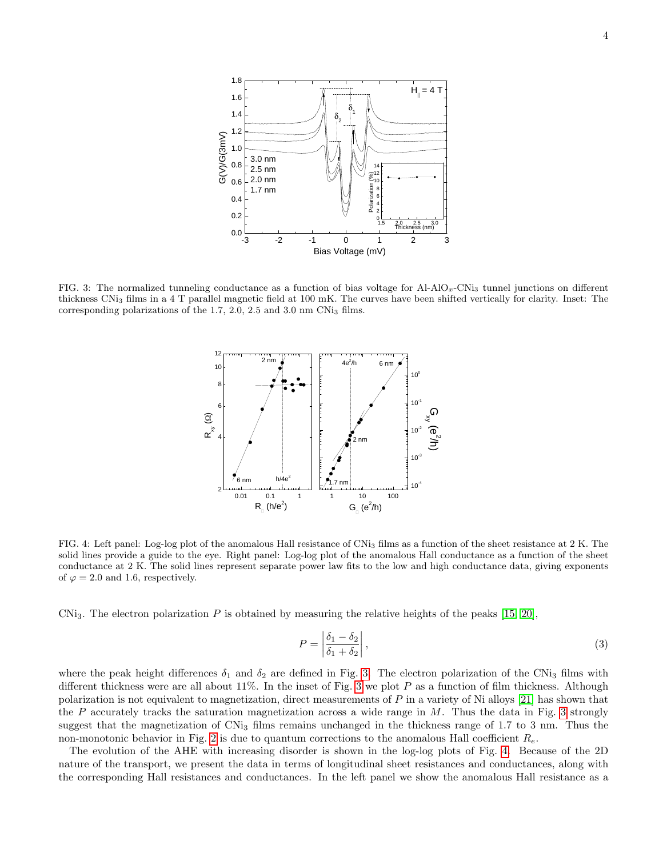

<span id="page-4-0"></span>FIG. 3: The normalized tunneling conductance as a function of bias voltage for  $A1-A1O_x$ -CNi<sub>3</sub> tunnel junctions on different thickness CNi<sup>3</sup> films in a 4 T parallel magnetic field at 100 mK. The curves have been shifted vertically for clarity. Inset: The corresponding polarizations of the 1.7, 2.0, 2.5 and 3.0 nm CNi<sub>3</sub> films.



<span id="page-4-1"></span>FIG. 4: Left panel: Log-log plot of the anomalous Hall resistance of CNi<sub>3</sub> films as a function of the sheet resistance at 2 K. The solid lines provide a guide to the eye. Right panel: Log-log plot of the anomalous Hall conductance as a function of the sheet conductance at 2 K. The solid lines represent separate power law fits to the low and high conductance data, giving exponents of  $\varphi = 2.0$  and 1.6, respectively.

CNi<sub>3</sub>. The electron polarization P is obtained by measuring the relative heights of the peaks [\[15,](#page-5-13) [20\]](#page-5-18),

$$
P = \left| \frac{\delta_1 - \delta_2}{\delta_1 + \delta_2} \right|,\tag{3}
$$

where the peak height differences  $\delta_1$  and  $\delta_2$  are defined in Fig. [3.](#page-4-0) The electron polarization of the CNi<sub>3</sub> films with different thickness were are all about 11%. In the inset of Fig. [3](#page-4-0) we plot  $P$  as a function of film thickness. Although polarization is not equivalent to magnetization, direct measurements of P in a variety of Ni alloys [\[21\]](#page-5-19) has shown that the P accurately tracks the saturation magnetization across a wide range in  $M$ . Thus the data in Fig. [3](#page-4-0) strongly suggest that the magnetization of CNi<sub>3</sub> films remains unchanged in the thickness range of 1.7 to 3 nm. Thus the non-monotonic behavior in Fig. [2](#page-3-1) is due to quantum corrections to the anomalous Hall coefficient  $R_e$ .

The evolution of the AHE with increasing disorder is shown in the log-log plots of Fig. [4.](#page-4-1) Because of the 2D nature of the transport, we present the data in terms of longitudinal sheet resistances and conductances, along with the corresponding Hall resistances and conductances. In the left panel we show the anomalous Hall resistance as a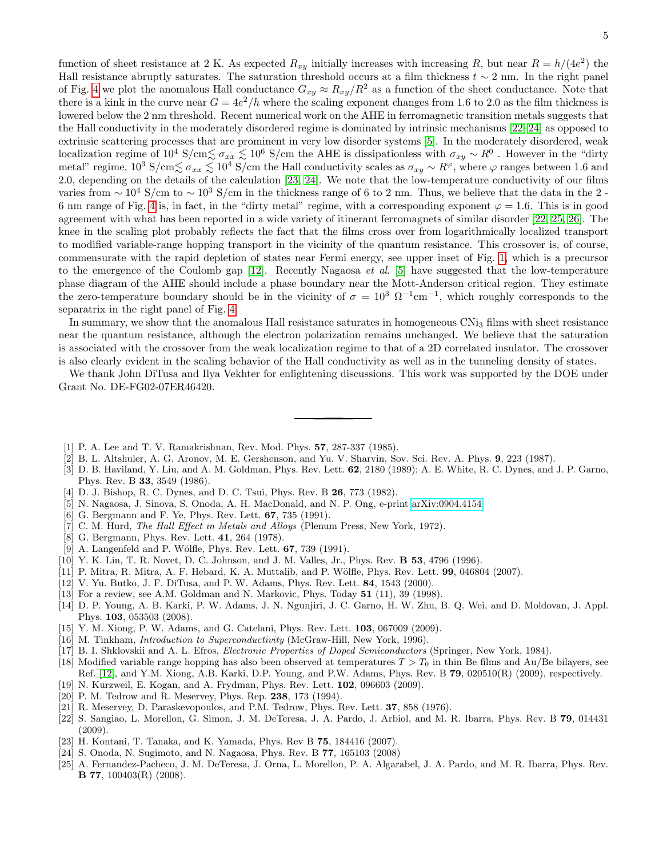function of sheet resistance at 2 K. As expected  $R_{xy}$  initially increases with increasing R, but near  $R = h/(4e^2)$  the Hall resistance abruptly saturates. The saturation threshold occurs at a film thickness  $t \sim 2$  nm. In the right panel of Fig. [4](#page-4-1) we plot the anomalous Hall conductance  $G_{xy} \approx R_{xy}/R^2$  as a function of the sheet conductance. Note that there is a kink in the curve near  $G = 4e^2/h$  where the scaling exponent changes from 1.6 to 2.0 as the film thickness is lowered below the 2 nm threshold. Recent numerical work on the AHE in ferromagnetic transition metals suggests that the Hall conductivity in the moderately disordered regime is dominated by intrinsic mechanisms [\[22–](#page-5-20)[24\]](#page-5-21) as opposed to extrinsic scattering processes that are prominent in very low disorder systems [\[5\]](#page-5-4). In the moderately disordered, weak localization regime of  $10^4$  S/cm $\lesssim \sigma_{xx} \lesssim 10^6$  S/cm the AHE is dissipationless with  $\sigma_{xy} \sim R^0$ . However in the "dirty" metal" regime,  $10^3$  S/cm $\lesssim \sigma_{xx} \lesssim 10^4$  S/cm the Hall conductivity scales as  $\sigma_{xy} \sim R^{\varphi}$ , where  $\varphi$  ranges between 1.6 and 2.0, depending on the details of the calculation [\[23,](#page-5-22) [24\]](#page-5-21). We note that the low-temperature conductivity of our films varies from  $\sim 10^4$  S/cm to  $\sim 10^3$  S/cm in the thickness range of 6 to 2 nm. Thus, we believe that the data in the 2 6 nm range of Fig. [4](#page-4-1) is, in fact, in the "dirty metal" regime, with a corresponding exponent  $\varphi = 1.6$ . This is in good agreement with what has been reported in a wide variety of itinerant ferromagnets of similar disorder [\[22,](#page-5-20) [25,](#page-5-23) [26\]](#page-6-0). The knee in the scaling plot probably reflects the fact that the films cross over from logarithmically localized transport to modified variable-range hopping transport in the vicinity of the quantum resistance. This crossover is, of course, commensurate with the rapid depletion of states near Fermi energy, see upper inset of Fig. [1,](#page-2-0) which is a precursor to the emergence of the Coulomb gap  $[12]$ . Recently Nagaosa *et al.* [\[5\]](#page-5-4) have suggested that the low-temperature phase diagram of the AHE should include a phase boundary near the Mott-Anderson critical region. They estimate the zero-temperature boundary should be in the vicinity of  $\sigma = 10^3 \Omega^{-1}$ cm<sup>-1</sup>, which roughly corresponds to the separatrix in the right panel of Fig. [4.](#page-4-1)

In summary, we show that the anomalous Hall resistance saturates in homogeneous CNi<sub>3</sub> films with sheet resistance near the quantum resistance, although the electron polarization remains unchanged. We believe that the saturation is associated with the crossover from the weak localization regime to that of a 2D correlated insulator. The crossover is also clearly evident in the scaling behavior of the Hall conductivity as well as in the tunneling density of states.

We thank John DiTusa and Ilya Vekhter for enlightening discussions. This work was supported by the DOE under Grant No. DE-FG02-07ER46420.

- <span id="page-5-0"></span>[1] P. A. Lee and T. V. Ramakrishnan, Rev. Mod. Phys. 57, 287-337 (1985).
- <span id="page-5-1"></span>[2] B. L. Altshuler, A. G. Aronov, M. E. Gershenson, and Yu. V. Sharvin, Sov. Sci. Rev. A. Phys. 9, 223 (1987).
- <span id="page-5-2"></span>[3] D. B. Haviland, Y. Liu, and A. M. Goldman, Phys. Rev. Lett. 62, 2180 (1989); A. E. White, R. C. Dynes, and J. P. Garno, Phys. Rev. B 33, 3549 (1986).
- <span id="page-5-3"></span>[4] D. J. Bishop, R. C. Dynes, and D. C. Tsui, Phys. Rev. B 26, 773 (1982).
- <span id="page-5-4"></span>[5] N. Nagaosa, J. Sinova, S. Onoda, A. H. MacDonald, and N. P. Ong, e-print [arXiv:0904.4154.](http://arxiv.org/abs/0904.4154)
- <span id="page-5-5"></span>[6] G. Bergmann and F. Ye, Phys. Rev. Lett. 67, 735 (1991).
- [7] C. M. Hurd, The Hall Effect in Metals and Alloys (Plenum Press, New York, 1972).
- <span id="page-5-6"></span>[8] G. Bergmann, Phys. Rev. Lett. 41, 264 (1978).
- <span id="page-5-7"></span>[9] A. Langenfeld and P. Wölfle, Phys. Rev. Lett. 67, 739 (1991).
- <span id="page-5-11"></span>[10] Y. K. Lin, T. R. Novet, D. C. Johnson, and J. M. Valles, Jr., Phys. Rev. B 53, 4796 (1996).
- <span id="page-5-8"></span>[11] P. Mitra, R. Mitra, A. F. Hebard, K. A. Muttalib, and P. Wölfle, Phys. Rev. Lett. 99, 046804 (2007).
- <span id="page-5-9"></span>[12] V. Yu. Butko, J. F. DiTusa, and P. W. Adams, Phys. Rev. Lett. 84, 1543 (2000).
- <span id="page-5-10"></span>[13] For a review, see A.M. Goldman and N. Markovic, Phys. Today 51 (11), 39 (1998).
- <span id="page-5-12"></span>[14] D. P. Young, A. B. Karki, P. W. Adams, J. N. Ngunjiri, J. C. Garno, H. W. Zhu, B. Q. Wei, and D. Moldovan, J. Appl. Phys. 103, 053503 (2008).
- <span id="page-5-13"></span>[15] Y. M. Xiong, P. W. Adams, and G. Catelani, Phys. Rev. Lett. 103, 067009 (2009).
- <span id="page-5-14"></span>[16] M. Tinkham, Introduction to Superconductivity (McGraw-Hill, New York, 1996).
- <span id="page-5-15"></span>[17] B. I. Shklovskii and A. L. Efros, *Electronic Properties of Doped Semiconductors* (Springer, New York, 1984).
- <span id="page-5-16"></span>[18] Modified variable range hopping has also been observed at temperatures  $T > T_0$  in thin Be films and Au/Be bilayers, see Ref. [\[12\]](#page-5-9), and Y.M. Xiong, A.B. Karki, D.P. Young, and P.W. Adams, Phys. Rev. B 79, 020510(R) (2009), respectively.
- <span id="page-5-17"></span>[19] N. Kurzweil, E. Kogan, and A. Frydman, Phys. Rev. Lett. 102, 096603 (2009).
- <span id="page-5-18"></span>[20] P. M. Tedrow and R. Meservey, Phys. Rep. 238, 173 (1994).
- <span id="page-5-19"></span>[21] R. Meservey, D. Paraskevopoulos, and P.M. Tedrow, Phys. Rev. Lett. 37, 858 (1976).
- <span id="page-5-20"></span>[22] S. Sangiao, L. Morellon, G. Simon, J. M. DeTeresa, J. A. Pardo, J. Arbiol, and M. R. Ibarra, Phys. Rev. B 79, 014431 (2009).
- <span id="page-5-22"></span>[23] H. Kontani, T. Tanaka, and K. Yamada, Phys. Rev B 75, 184416 (2007).
- <span id="page-5-21"></span>[24] S. Onoda, N. Sugimoto, and N. Nagaosa, Phys. Rev. B 77, 165103 (2008)
- <span id="page-5-23"></span>[25] A. Fernandez-Pacheco, J. M. DeTeresa, J. Orna, L. Morellon, P. A. Algarabel, J. A. Pardo, and M. R. Ibarra, Phys. Rev. B 77, 100403(R) (2008).